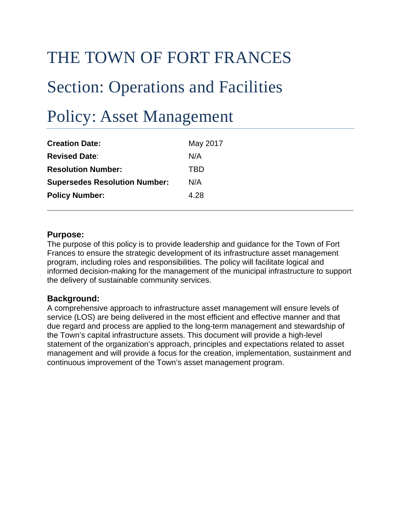# THE TOWN OF FORT FRANCES

# Section: Operations and Facilities

# Policy: Asset Management

| <b>Creation Date:</b>                | May 2017 |
|--------------------------------------|----------|
| <b>Revised Date:</b>                 | N/A      |
| <b>Resolution Number:</b>            | TBD      |
| <b>Supersedes Resolution Number:</b> | N/A      |
| <b>Policy Number:</b>                | 4.28     |

## **Purpose:**

The purpose of this policy is to provide leadership and guidance for the Town of Fort Frances to ensure the strategic development of its infrastructure asset management program, including roles and responsibilities. The policy will facilitate logical and informed decision-making for the management of the municipal infrastructure to support the delivery of sustainable community services.

## **Background:**

A comprehensive approach to infrastructure asset management will ensure levels of service (LOS) are being delivered in the most efficient and effective manner and that due regard and process are applied to the long-term management and stewardship of the Town's capital infrastructure assets. This document will provide a high-level statement of the organization's approach, principles and expectations related to asset management and will provide a focus for the creation, implementation, sustainment and continuous improvement of the Town's asset management program.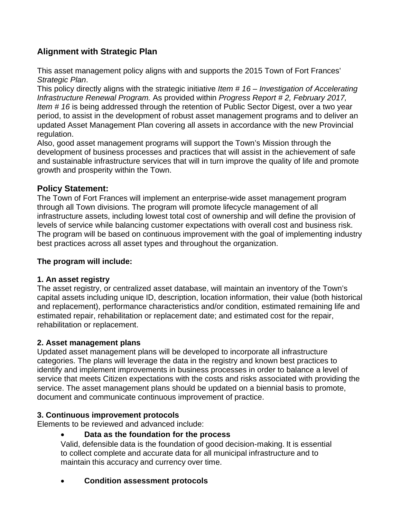# **Alignment with Strategic Plan**

This asset management policy aligns with and supports the 2015 Town of Fort Frances' *Strategic Plan*.

This policy directly aligns with the strategic initiative *Item # 16* – *Investigation of Accelerating Infrastructure Renewal Program.* As provided within *Progress Report # 2, February 2017, Item # 16* is being addressed through the retention of Public Sector Digest, over a two year period, to assist in the development of robust asset management programs and to deliver an updated Asset Management Plan covering all assets in accordance with the new Provincial regulation.

Also, good asset management programs will support the Town's Mission through the development of business processes and practices that will assist in the achievement of safe and sustainable infrastructure services that will in turn improve the quality of life and promote growth and prosperity within the Town.

# **Policy Statement:**

The Town of Fort Frances will implement an enterprise-wide asset management program through all Town divisions. The program will promote lifecycle management of all infrastructure assets, including lowest total cost of ownership and will define the provision of levels of service while balancing customer expectations with overall cost and business risk. The program will be based on continuous improvement with the goal of implementing industry best practices across all asset types and throughout the organization.

# **The program will include:**

# **1. An asset registry**

The asset registry, or centralized asset database, will maintain an inventory of the Town's capital assets including unique ID, description, location information, their value (both historical and replacement), performance characteristics and/or condition, estimated remaining life and estimated repair, rehabilitation or replacement date; and estimated cost for the repair, rehabilitation or replacement.

# **2. Asset management plans**

Updated asset management plans will be developed to incorporate all infrastructure categories. The plans will leverage the data in the registry and known best practices to identify and implement improvements in business processes in order to balance a level of service that meets Citizen expectations with the costs and risks associated with providing the service. The asset management plans should be updated on a biennial basis to promote, document and communicate continuous improvement of practice.

# **3. Continuous improvement protocols**

Elements to be reviewed and advanced include:

# **Data as the foundation for the process**

Valid, defensible data is the foundation of good decision-making. It is essential to collect complete and accurate data for all municipal infrastructure and to maintain this accuracy and currency over time.

**Condition assessment protocols**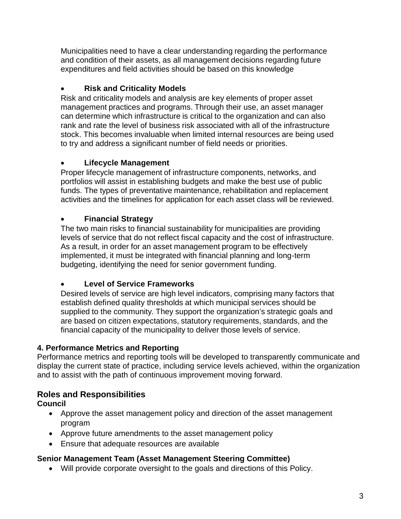Municipalities need to have a clear understanding regarding the performance and condition of their assets, as all management decisions regarding future expenditures and field activities should be based on this knowledge

# **Risk and Criticality Models**

Risk and criticality models and analysis are key elements of proper asset management practices and programs. Through their use, an asset manager can determine which infrastructure is critical to the organization and can also rank and rate the level of business risk associated with all of the infrastructure stock. This becomes invaluable when limited internal resources are being used to try and address a significant number of field needs or priorities.

# **Lifecycle Management**

Proper lifecycle management of infrastructure components, networks, and portfolios will assist in establishing budgets and make the best use of public funds. The types of preventative maintenance, rehabilitation and replacement activities and the timelines for application for each asset class will be reviewed.

# **Financial Strategy**

The two main risks to financial sustainability for municipalities are providing levels of service that do not reflect fiscal capacity and the cost of infrastructure. As a result, in order for an asset management program to be effectively implemented, it must be integrated with financial planning and long-term budgeting, identifying the need for senior government funding.

# **Level of Service Frameworks**

Desired levels of service are high level indicators, comprising many factors that establish defined quality thresholds at which municipal services should be supplied to the community. They support the organization's strategic goals and are based on citizen expectations, statutory requirements, standards, and the financial capacity of the municipality to deliver those levels of service.

# **4. Performance Metrics and Reporting**

Performance metrics and reporting tools will be developed to transparently communicate and display the current state of practice, including service levels achieved, within the organization and to assist with the path of continuous improvement moving forward.

# **Roles and Responsibilities**

**Council**

- Approve the asset management policy and direction of the asset management program
- Approve future amendments to the asset management policy
- Ensure that adequate resources are available

# **Senior Management Team (Asset Management Steering Committee)**

Will provide corporate oversight to the goals and directions of this Policy.